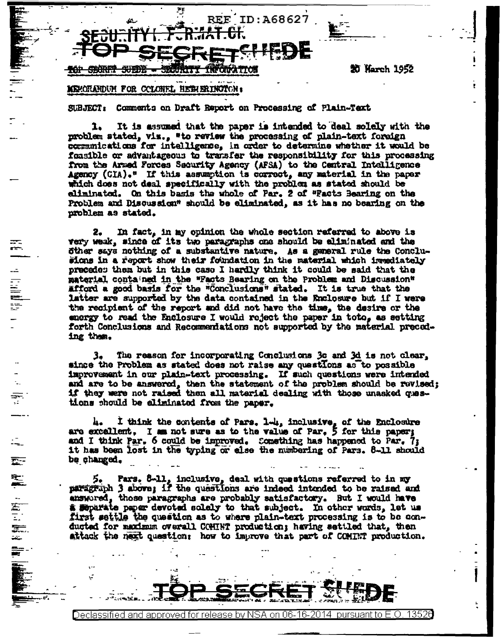

笥 Narch 1952

## NEWORDUM FOR COLONEL HEENERINGTON:

14. 开始重要

巫

**READERS AND READERS** 

Declassified and

Comments on Draft Report on Processing of Plain-Text **SUBJECT:** 

It is assumed that the paper is intended to deal solely with the 1. problem stated, vix., "to review the processing of plain-text foreign communications for intelligence, in order to determine whether it would be foasible or advantageous to transfer the responsibility for this processing from the Armed Forces Security Agency (AFSA) to the Central Intelligence Agency (CIA)." If this assumption is correct, any material in the paper which does not deal specifically with the problem as stated should be eliminated. On this basis the whole of Par. 2 of "Facts Bearing on the Problem and Discussion" should be eliminated, as it has no bearing on the problem as stated.

In fact, in my opinion the whole section referred to above is 2, very weak, since of its two paragraphs one should be eliminated and the öther says nothing of a substantive nature. As a general rule the Conclusions in a report show their foundation in the material which immediately precedes them but in this case I hardly think it could be said that the material contained in the "Facts Bearing on the Problem and Discussion" afford a good basis for the "Conclusions" stated. It is true that the latter are supported by the data contained in the Enclosure but if I were the recipient of the report and did not have the time, the desire or the energy to read the Enclosure I would reject the paper in toto. as setting forth Conclusions and Recommentations not supported by the material preceding them.

The reason for incorporating Conclusions 3c and 3d is not clear. з. since the Problem as stated does not raise any quastIons as to possible improvement in our plain-text processing. If such questions were intended and are to be answered, then the statement of the problem should be revised: if they were not raised then all material dealing with those unasked questions should be aliminated from the paper.

I think the contents of Pars. 1-4, inclusive, of the Enclosure h. are excallent. I am not sure as to the value of Par.  $\frac{1}{2}$  for this paper; and I think Par. 6 could be improved. Comething has happened to Par. 7; it has been lost in the typing or else the numbering of Pars. 8-11 should be changed.

5. Pars. 8-11, inclusive, deal with questions referred to in my paragraph 3 above; if the questions are indeed intended to be raised and answored, those paragraphs are probably satisfactory. But I would have & Moparate paper devoted solely to that subject. In other words, let us first settle the question as to where plain-text processing is to be conducted for maximum overall COHINT production; having settled that, then attack the next question: how to improve that part of COMINT production.

approved for release by NSA on 06-16-2014 pursuant to E.O.

13520